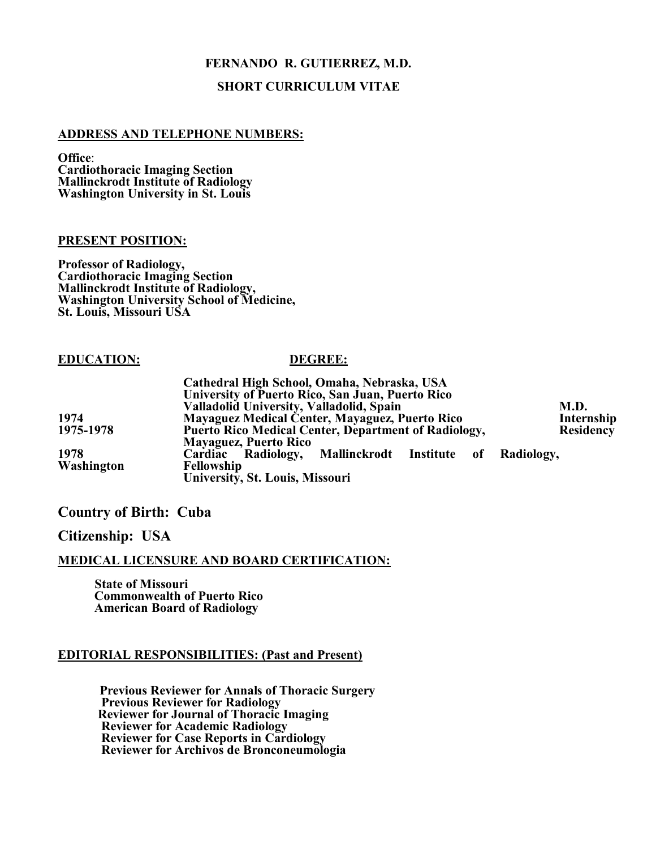# **FERNANDO R. GUTIERREZ, M.D.**

# **SHORT CURRICULUM VITAE**

## **ADDRESS AND TELEPHONE NUMBERS:**

**Office**: **Cardiothoracic Imaging Section Mallinckrodt Institute of Radiology Washington University in St. Louis**

## **PRESENT POSITION:**

**Professor of Radiology, Cardiothoracic Imaging Section Mallinckrodt Institute of Radiology, Washington University School of Medicine, St. Louis, Missouri USA**

## **EDUCATION: DEGREE:**

|            | Cathedral High School, Omaha, Nebraska, USA<br>University of Puerto Rico, San Juan, Puerto Rico<br>Valladolid University, Valladolid, Spain<br>M.D. |  |
|------------|-----------------------------------------------------------------------------------------------------------------------------------------------------|--|
| 1974       | Mayaguez Medical Center, Mayaguez, Puerto Rico<br>Internship                                                                                        |  |
| 1975-1978  | <b>Puerto Rico Medical Center, Department of Radiology,</b><br><b>Residency</b><br><b>Mayaguez, Puerto Rico</b>                                     |  |
| 1978       | Cardiac Radiology, Mallinckrodt Institute of Radiology,                                                                                             |  |
| Washington | <b>Fellowship</b><br>University, St. Louis, Missouri                                                                                                |  |

# **Country of Birth: Cuba**

# **Citizenship: USA**

## **MEDICAL LICENSURE AND BOARD CERTIFICATION:**

 **State of Missouri Commonwealth of Puerto Rico American Board of Radiology**

## **EDITORIAL RESPONSIBILITIES: (Past and Present)**

**Previous Reviewer for Annals of Thoracic Surgery Previous Reviewer for Radiology Reviewer for Journal of Thoracic Imaging Reviewer for Academic Radiology Reviewer for Case Reports in Cardiology Reviewer for Archivos de Bronconeumologia**